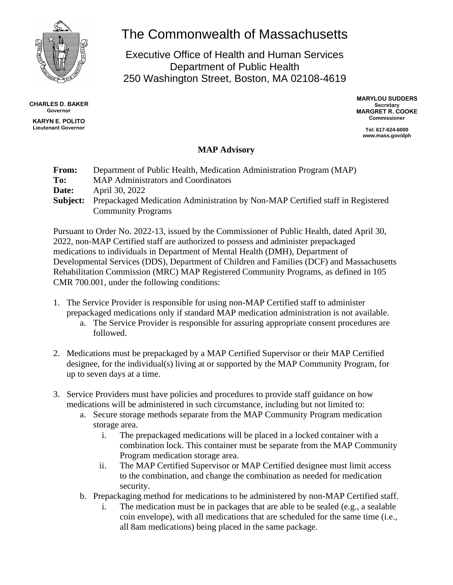

**CHARLES D. BAKER Governor KARYN E. POLITO**

**Lieutenant Governor**

## The Commonwealth of Massachusetts

Executive Office of Health and Human Services Department of Public Health 250 Washington Street, Boston, MA 02108-4619

> **MARYLOU SUDDERS Secretary MARGRET R. COOKE Commissioner**

**Tel: 617-624-6000 www.mass.gov/dph**

## **MAP Advisory**

| <b>From:</b><br>To: | Department of Public Health, Medication Administration Program (MAP)<br><b>MAP Administrators and Coordinators</b>          |
|---------------------|-----------------------------------------------------------------------------------------------------------------------------|
| Date:               | April 30, 2022                                                                                                              |
|                     | <b>Subject:</b> Prepackaged Medication Administration by Non-MAP Certified staff in Registered<br><b>Community Programs</b> |

Pursuant to Order No. 2022-13, issued by the Commissioner of Public Health, dated April 30, 2022, non-MAP Certified staff are authorized to possess and administer prepackaged medications to individuals in Department of Mental Health (DMH), Department of Developmental Services (DDS), Department of Children and Families (DCF) and Massachusetts Rehabilitation Commission (MRC) MAP Registered Community Programs, as defined in 105 CMR 700.001, under the following conditions:

- 1. The Service Provider is responsible for using non-MAP Certified staff to administer prepackaged medications only if standard MAP medication administration is not available.
	- a. The Service Provider is responsible for assuring appropriate consent procedures are followed.
- 2. Medications must be prepackaged by a MAP Certified Supervisor or their MAP Certified designee, for the individual(s) living at or supported by the MAP Community Program, for up to seven days at a time.
- 3. Service Providers must have policies and procedures to provide staff guidance on how medications will be administered in such circumstance, including but not limited to:
	- a. Secure storage methods separate from the MAP Community Program medication storage area.
		- i. The prepackaged medications will be placed in a locked container with a combination lock. This container must be separate from the MAP Community Program medication storage area.
		- ii. The MAP Certified Supervisor or MAP Certified designee must limit access to the combination, and change the combination as needed for medication security.
	- b. Prepackaging method for medications to be administered by non-MAP Certified staff.
		- i. The medication must be in packages that are able to be sealed (e.g., a sealable coin envelope), with all medications that are scheduled for the same time (i.e., all 8am medications) being placed in the same package.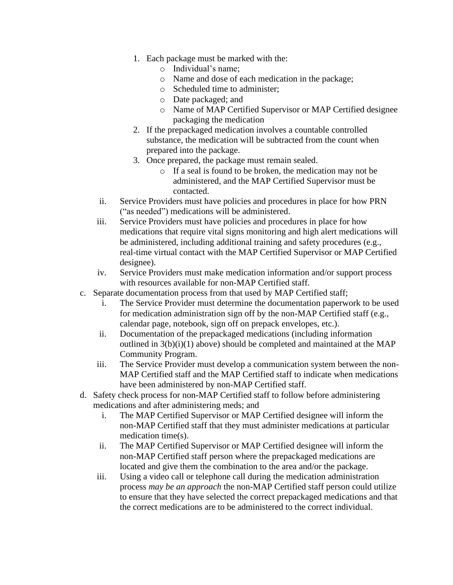- 1. Each package must be marked with the:
	- o Individual's name;
	- o Name and dose of each medication in the package;
	- o Scheduled time to administer;
	- o Date packaged; and
	- o Name of MAP Certified Supervisor or MAP Certified designee packaging the medication
- 2. If the prepackaged medication involves a countable controlled substance, the medication will be subtracted from the count when prepared into the package.
- 3. Once prepared, the package must remain sealed.
	- o If a seal is found to be broken, the medication may not be administered, and the MAP Certified Supervisor must be contacted.
- ii. Service Providers must have policies and procedures in place for how PRN ("as needed") medications will be administered.
- iii. Service Providers must have policies and procedures in place for how medications that require vital signs monitoring and high alert medications will be administered, including additional training and safety procedures (e.g., real-time virtual contact with the MAP Certified Supervisor or MAP Certified designee).
- iv. Service Providers must make medication information and/or support process with resources available for non-MAP Certified staff.
- c. Separate documentation process from that used by MAP Certified staff;
	- i. The Service Provider must determine the documentation paperwork to be used for medication administration sign off by the non-MAP Certified staff (e.g., calendar page, notebook, sign off on prepack envelopes, etc.).
	- ii. Documentation of the prepackaged medications (including information outlined in  $3(b)(i)(1)$  above) should be completed and maintained at the MAP Community Program.
	- iii. The Service Provider must develop a communication system between the non-MAP Certified staff and the MAP Certified staff to indicate when medications have been administered by non-MAP Certified staff.
- d. Safety check process for non-MAP Certified staff to follow before administering medications and after administering meds; and
	- i. The MAP Certified Supervisor or MAP Certified designee will inform the non-MAP Certified staff that they must administer medications at particular medication time(s).
	- ii. The MAP Certified Supervisor or MAP Certified designee will inform the non-MAP Certified staff person where the prepackaged medications are located and give them the combination to the area and/or the package.
	- iii. Using a video call or telephone call during the medication administration process *may be an approach* the non-MAP Certified staff person could utilize to ensure that they have selected the correct prepackaged medications and that the correct medications are to be administered to the correct individual.